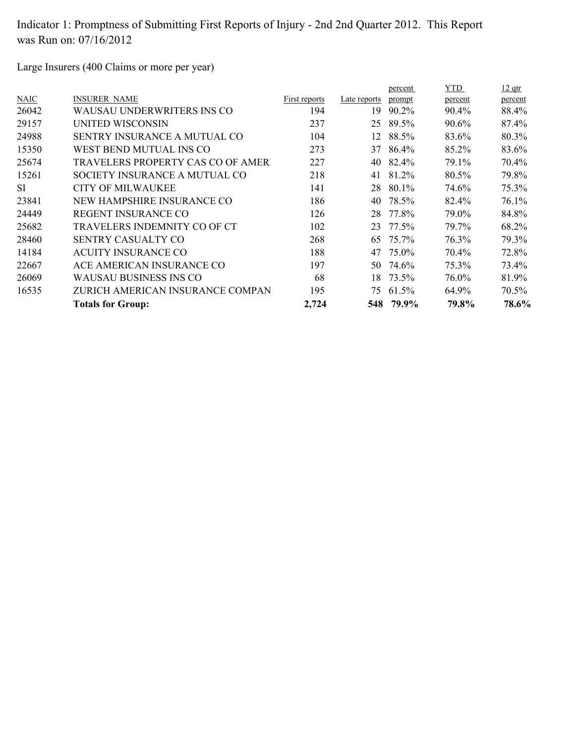Large Insurers (400 Claims or more per year)

|             |                                          |               |              | percent | YTD.    | $12$ qtr |
|-------------|------------------------------------------|---------------|--------------|---------|---------|----------|
| <b>NAIC</b> | <b>INSURER NAME</b>                      | First reports | Late reports | prompt  | percent | percent  |
| 26042       | WAUSAU UNDERWRITERS INS CO               | 194           | 19           | 90.2%   | 90.4%   | 88.4%    |
| 29157       | UNITED WISCONSIN                         | 237           | 25           | 89.5%   | 90.6%   | 87.4%    |
| 24988       | <b>SENTRY INSURANCE A MUTUAL CO</b>      | 104           | 12           | 88.5%   | 83.6%   | 80.3%    |
| 15350       | WEST BEND MUTUAL INS CO                  | 273           | 37           | 86.4%   | 85.2%   | 83.6%    |
| 25674       | <b>TRAVELERS PROPERTY CAS CO OF AMER</b> | 227           | 40           | 82.4%   | 79.1%   | 70.4%    |
| 15261       | SOCIETY INSURANCE A MUTUAL CO            | 218           | 41           | 81.2%   | 80.5%   | 79.8%    |
| <b>SI</b>   | CITY OF MILWAUKEE                        | 141           | 28           | 80.1%   | 74.6%   | 75.3%    |
| 23841       | NEW HAMPSHIRE INSURANCE CO               | 186           | 40           | 78.5%   | 82.4%   | 76.1%    |
| 24449       | REGENT INSURANCE CO                      | 126           | 28           | 77.8%   | 79.0%   | 84.8%    |
| 25682       | TRAVELERS INDEMNITY CO OF CT             | 102           | 23           | 77.5%   | 79.7%   | 68.2%    |
| 28460       | <b>SENTRY CASUALTY CO</b>                | 268           | 65           | 75.7%   | 76.3%   | 79.3%    |
| 14184       | <b>ACUITY INSURANCE CO</b>               | 188           | 47           | 75.0%   | 70.4%   | 72.8%    |
| 22667       | ACE AMERICAN INSURANCE CO                | 197           | 50.          | 74.6%   | 75.3%   | 73.4%    |
| 26069       | WAUSAU BUSINESS INS CO                   | 68            | 18           | 73.5%   | 76.0%   | 81.9%    |
| 16535       | ZURICH AMERICAN INSURANCE COMPAN         | 195           | 75           | 61.5%   | 64.9%   | 70.5%    |
|             | <b>Totals for Group:</b>                 | 2,724         | 548          | 79.9%   | 79.8%   | 78.6%    |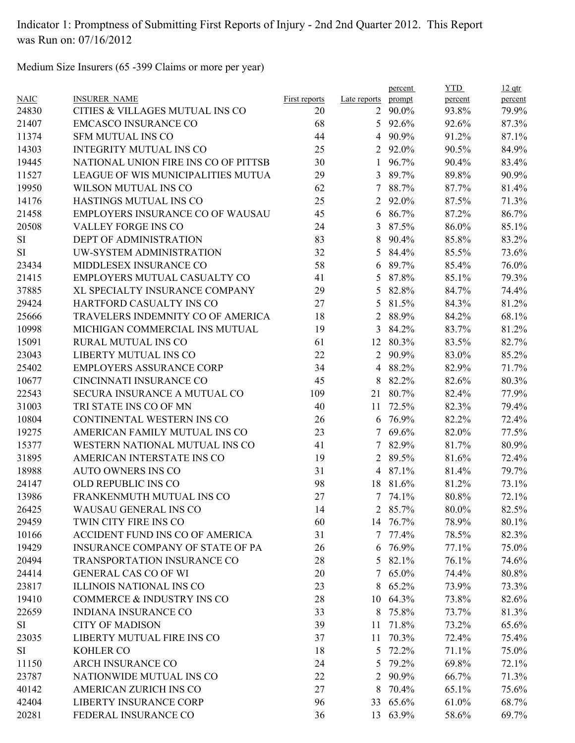Medium Size Insurers (65 -399 Claims or more per year)

|             |                                         |               |                | percent        | <b>YTD</b> | $12$ qtr |
|-------------|-----------------------------------------|---------------|----------------|----------------|------------|----------|
| <b>NAIC</b> | <b>INSURER NAME</b>                     | First reports | Late reports   | prompt         | percent    | percent  |
| 24830       | CITIES & VILLAGES MUTUAL INS CO         | 20            | $\overline{2}$ | 90.0%          | 93.8%      | 79.9%    |
| 21407       | <b>EMCASCO INSURANCE CO</b>             | 68            |                | 5 $92.6\%$     | 92.6%      | 87.3%    |
| 11374       | <b>SFM MUTUAL INS CO</b>                | 44            | $\overline{4}$ | 90.9%          | 91.2%      | 87.1%    |
| 14303       | <b>INTEGRITY MUTUAL INS CO</b>          | 25            |                | 2 92.0%        | 90.5%      | 84.9%    |
| 19445       | NATIONAL UNION FIRE INS CO OF PITTSB    | 30            | 1              | 96.7%          | 90.4%      | 83.4%    |
| 11527       | LEAGUE OF WIS MUNICIPALITIES MUTUA      | 29            | 3              | 89.7%          | 89.8%      | 90.9%    |
| 19950       | WILSON MUTUAL INS CO                    | 62            | 7              | 88.7%          | 87.7%      | 81.4%    |
| 14176       | <b>HASTINGS MUTUAL INS CO</b>           | 25            | 2              | 92.0%          | 87.5%      | 71.3%    |
| 21458       | <b>EMPLOYERS INSURANCE CO OF WAUSAU</b> | 45            | 6              | 86.7%          | 87.2%      | 86.7%    |
| 20508       | VALLEY FORGE INS CO                     | 24            | $\mathfrak{Z}$ | 87.5%          | 86.0%      | 85.1%    |
| SI          | DEPT OF ADMINISTRATION                  | 83            | 8              | 90.4%          | 85.8%      | 83.2%    |
| <b>SI</b>   | UW-SYSTEM ADMINISTRATION                | 32            | 5              | 84.4%          | 85.5%      | 73.6%    |
| 23434       | MIDDLESEX INSURANCE CO                  | 58            | 6              | 89.7%          | 85.4%      | 76.0%    |
| 21415       | EMPLOYERS MUTUAL CASUALTY CO            | 41            | 5              | 87.8%          | 85.1%      | 79.3%    |
| 37885       | XL SPECIALTY INSURANCE COMPANY          | 29            | 5              | 82.8%          | 84.7%      | 74.4%    |
| 29424       | HARTFORD CASUALTY INS CO                | 27            | 5              | 81.5%          | 84.3%      | 81.2%    |
| 25666       | TRAVELERS INDEMNITY CO OF AMERICA       | 18            | $\overline{2}$ | 88.9%          | 84.2%      | 68.1%    |
| 10998       | MICHIGAN COMMERCIAL INS MUTUAL          | 19            | 3              | 84.2%          | 83.7%      | 81.2%    |
| 15091       | RURAL MUTUAL INS CO                     | 61            | 12             | 80.3%          | 83.5%      | 82.7%    |
| 23043       | LIBERTY MUTUAL INS CO                   | 22            | 2              | 90.9%          | 83.0%      | 85.2%    |
| 25402       | <b>EMPLOYERS ASSURANCE CORP</b>         | 34            | 4              | 88.2%          | 82.9%      | 71.7%    |
| 10677       | CINCINNATI INSURANCE CO                 | 45            | 8              | 82.2%          | 82.6%      | 80.3%    |
| 22543       | SECURA INSURANCE A MUTUAL CO            | 109           | 21             | 80.7%          | 82.4%      | 77.9%    |
| 31003       | TRI STATE INS CO OF MN                  | 40            | 11             | 72.5%          | 82.3%      | 79.4%    |
| 10804       | CONTINENTAL WESTERN INS CO              | 26            |                | 6 76.9%        | 82.2%      | 72.4%    |
| 19275       | AMERICAN FAMILY MUTUAL INS CO           | 23            | $\tau$         | 69.6%          | 82.0%      | 77.5%    |
| 15377       | WESTERN NATIONAL MUTUAL INS CO          | 41            | 7              | 82.9%          | 81.7%      | 80.9%    |
| 31895       | AMERICAN INTERSTATE INS CO              | 19            | 2              | 89.5%          | 81.6%      | 72.4%    |
| 18988       | <b>AUTO OWNERS INS CO</b>               | 31            | $\overline{4}$ | 87.1%          | 81.4%      | 79.7%    |
| 24147       | OLD REPUBLIC INS CO                     | 98            |                | 18 81.6%       | 81.2%      | 73.1%    |
| 13986       | FRANKENMUTH MUTUAL INS CO               | 27            |                | 7 74.1%        | 80.8%      | 72.1%    |
| 26425       | WAUSAU GENERAL INS CO                   | 14            |                | 2 $85.7\%$     | 80.0%      | 82.5%    |
| 29459       | TWIN CITY FIRE INS CO                   | 60            |                | 14 76.7%       | 78.9%      | 80.1%    |
| 10166       | ACCIDENT FUND INS CO OF AMERICA         | 31            |                | $7\quad77.4\%$ | 78.5%      | 82.3%    |
| 19429       | INSURANCE COMPANY OF STATE OF PA        | 26            |                | 6 76.9%        | 77.1%      | 75.0%    |
| 20494       | TRANSPORTATION INSURANCE CO             | 28            |                | 5 82.1%        | 76.1%      | 74.6%    |
| 24414       | <b>GENERAL CAS CO OF WI</b>             | 20            | 7              | 65.0%          | 74.4%      | $80.8\%$ |
| 23817       | ILLINOIS NATIONAL INS CO                | 23            | 8              | 65.2%          | 73.9%      | 73.3%    |
| 19410       | COMMERCE & INDUSTRY INS CO              | 28            |                | 10 64.3%       | 73.8%      | 82.6%    |
| 22659       | <b>INDIANA INSURANCE CO</b>             | 33            | 8              | 75.8%          | 73.7%      | 81.3%    |
| SI          | <b>CITY OF MADISON</b>                  | 39            |                | 11 71.8%       | 73.2%      | 65.6%    |
| 23035       | LIBERTY MUTUAL FIRE INS CO              | 37            | 11             | 70.3%          | 72.4%      | 75.4%    |
| SI          | KOHLER CO                               | 18            | 5              | 72.2%          | 71.1%      | 75.0%    |
| 11150       | <b>ARCH INSURANCE CO</b>                |               | 5              | 79.2%          | 69.8%      | 72.1%    |
| 23787       | NATIONWIDE MUTUAL INS CO                | 24<br>22      | 2              | 90.9%          | 66.7%      | 71.3%    |
|             | AMERICAN ZURICH INS CO                  | 27            |                |                |            |          |
| 40142       |                                         |               | 8              | 70.4%          | 65.1%      | 75.6%    |
| 42404       | <b>LIBERTY INSURANCE CORP</b>           | 96            |                | 33 65.6%       | 61.0%      | 68.7%    |
| 20281       | FEDERAL INSURANCE CO                    | 36            |                | 13 63.9%       | 58.6%      | 69.7%    |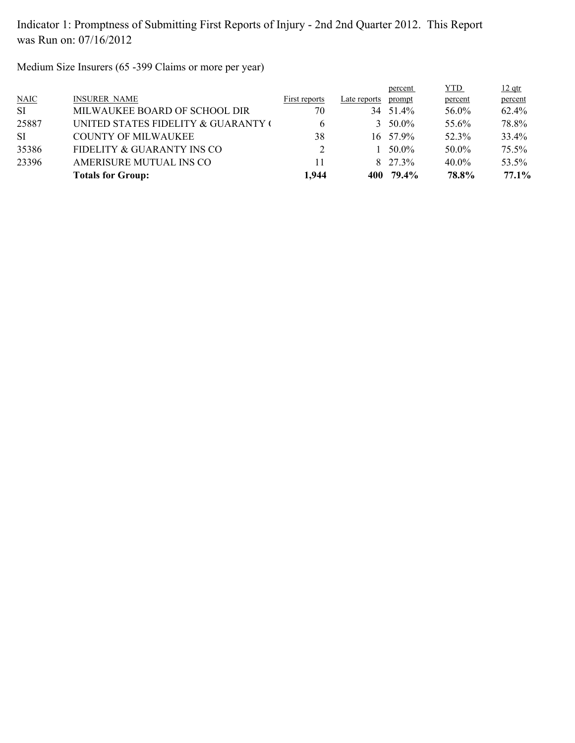Medium Size Insurers (65 -399 Claims or more per year)

|           | <b>Totals for Group:</b>            | 1,944         | 400          | 79.4%             | 78.8%      | 77.1%    |
|-----------|-------------------------------------|---------------|--------------|-------------------|------------|----------|
| 23396     | AMERISURE MUTUAL INS CO             | 11            |              | $8\quad 27\;3\%$  | $40.0\%$   | 53.5%    |
| 35386     | FIDELITY & GUARANTY INS CO          |               |              | 50.0%             | 50.0%      | 75.5%    |
| SI.       | COUNTY OF MILWAUKEE                 | 38            |              | $16 \quad 57.9\%$ | 52.3%      | 33.4%    |
| 25887     | UNITED STATES FIDELITY & GUARANTY ( | b             |              | $3\quad 50.0\%$   | 55.6%      | 78.8%    |
| <b>SI</b> | MILWAUKEE BOARD OF SCHOOL DIR       | 70            | 34           | 51.4%             | 56.0%      | $62.4\%$ |
| N AIC     | <b>INSURER NAME</b>                 | First reports | Late reports | prompt            | percent    | percent  |
|           |                                     |               |              | <u>percent</u>    | <b>YTD</b> | $12$ qtr |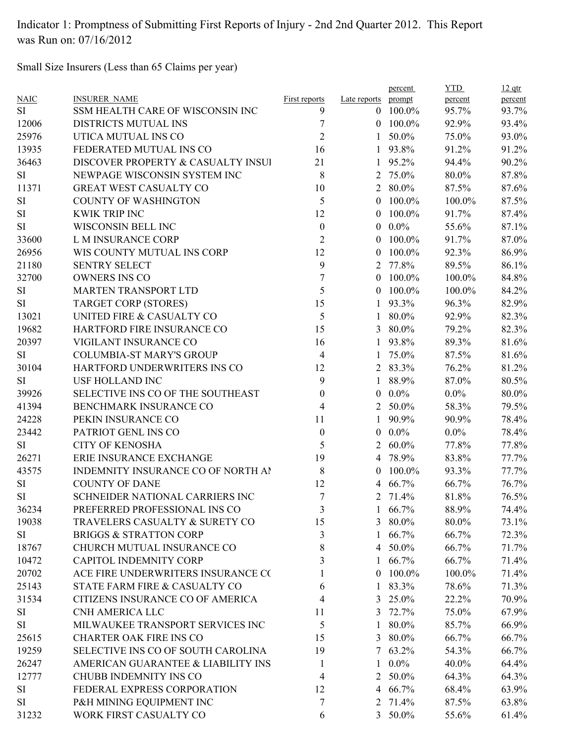Small Size Insurers (Less than 65 Claims per year)

|             |                                    |                      |                | percent         | <b>YTD</b> | $12$ qtr |
|-------------|------------------------------------|----------------------|----------------|-----------------|------------|----------|
| <b>NAIC</b> | <b>INSURER NAME</b>                | <b>First reports</b> | Late reports   | prompt          | percent    | percent  |
| SI.         | SSM HEALTH CARE OF WISCONSIN INC   | 9                    | $\theta$       | 100.0%          | 95.7%      | 93.7%    |
| 12006       | DISTRICTS MUTUAL INS               | 7                    |                | $0$ 100.0%      | 92.9%      | 93.4%    |
| 25976       | UTICA MUTUAL INS CO                | $\overline{2}$       | $\mathbf{1}$   | 50.0%           | 75.0%      | 93.0%    |
| 13935       | FEDERATED MUTUAL INS CO            | 16                   | 1              | 93.8%           | 91.2%      | 91.2%    |
| 36463       | DISCOVER PROPERTY & CASUALTY INSUI | 21                   | 1              | 95.2%           | 94.4%      | 90.2%    |
| <b>SI</b>   | NEWPAGE WISCONSIN SYSTEM INC       | 8                    | 2              | 75.0%           | 80.0%      | 87.8%    |
| 11371       | <b>GREAT WEST CASUALTY CO</b>      | 10                   | $\overline{2}$ | 80.0%           | 87.5%      | 87.6%    |
| SI          | <b>COUNTY OF WASHINGTON</b>        | 5                    | $\theta$       | 100.0%          | 100.0%     | 87.5%    |
| SI          | <b>KWIK TRIP INC</b>               | 12                   | $\overline{0}$ | 100.0%          | 91.7%      | 87.4%    |
| SI          | WISCONSIN BELL INC                 | $\boldsymbol{0}$     | $\overline{0}$ | $0.0\%$         | 55.6%      | 87.1%    |
| 33600       | L M INSURANCE CORP                 | $\mathfrak{2}$       | $\mathbf{0}$   | 100.0%          | 91.7%      | 87.0%    |
| 26956       | WIS COUNTY MUTUAL INS CORP         | 12                   | $\theta$       | 100.0%          | 92.3%      | 86.9%    |
| 21180       | <b>SENTRY SELECT</b>               | 9                    | 2              | 77.8%           | 89.5%      | 86.1%    |
| 32700       | <b>OWNERS INS CO</b>               | $\tau$               | $\theta$       | 100.0%          | 100.0%     | 84.8%    |
| SI          | MARTEN TRANSPORT LTD               | 5                    | $\theta$       | 100.0%          | 100.0%     | 84.2%    |
| SI          | <b>TARGET CORP (STORES)</b>        | 15                   | $\mathbf{1}$   | 93.3%           | 96.3%      | 82.9%    |
| 13021       | UNITED FIRE & CASUALTY CO          | 5                    | $\mathbf{1}$   | 80.0%           | 92.9%      | 82.3%    |
| 19682       | HARTFORD FIRE INSURANCE CO         | 15                   | 3              | 80.0%           | 79.2%      | 82.3%    |
| 20397       | VIGILANT INSURANCE CO              | 16                   | 1              | 93.8%           | 89.3%      | 81.6%    |
| <b>SI</b>   | <b>COLUMBIA-ST MARY'S GROUP</b>    | 4                    | 1              | 75.0%           | 87.5%      | 81.6%    |
| 30104       | HARTFORD UNDERWRITERS INS CO       | 12                   |                | 2 83.3%         | 76.2%      | 81.2%    |
| <b>SI</b>   | <b>USF HOLLAND INC</b>             | 9                    | 1              | 88.9%           | 87.0%      | 80.5%    |
| 39926       | SELECTIVE INS CO OF THE SOUTHEAST  | $\boldsymbol{0}$     | $\overline{0}$ | $0.0\%$         | $0.0\%$    | 80.0%    |
| 41394       | BENCHMARK INSURANCE CO             | 4                    |                | 2 50.0%         | 58.3%      | 79.5%    |
| 24228       | PEKIN INSURANCE CO                 | 11                   | 1              | 90.9%           | 90.9%      | 78.4%    |
| 23442       | PATRIOT GENL INS CO                | $\boldsymbol{0}$     | $\overline{0}$ | $0.0\%$         | $0.0\%$    | 78.4%    |
| SI          | <b>CITY OF KENOSHA</b>             | 5                    | 2              | $60.0\%$        | 77.8%      | 77.8%    |
| 26271       | ERIE INSURANCE EXCHANGE            | 19                   |                | 4 78.9%         | 83.8%      | 77.7%    |
| 43575       | INDEMNITY INSURANCE CO OF NORTH AI | 8                    | $\theta$       | 100.0%          | 93.3%      | 77.7%    |
| SI          | <b>COUNTY OF DANE</b>              | 12                   | 4              | 66.7%           | 66.7%      | 76.7%    |
| SI          | SCHNEIDER NATIONAL CARRIERS INC    | 7                    | 2              | 71.4%           | 81.8%      | 76.5%    |
| 36234       | PREFERRED PROFESSIONAL INS CO      | 3                    |                | $1\quad 66.7\%$ | 88.9%      | 74.4%    |
| 19038       | TRAVELERS CASUALTY & SURETY CO     | 15                   | 3              | 80.0%           | 80.0%      | 73.1%    |
| SI          | <b>BRIGGS &amp; STRATTON CORP</b>  | 3                    | 1              | 66.7%           | 66.7%      | 72.3%    |
| 18767       | CHURCH MUTUAL INSURANCE CO         | 8                    |                | 4 50.0%         | 66.7%      | 71.7%    |
| 10472       | <b>CAPITOL INDEMNITY CORP</b>      | 3                    | 1              | 66.7%           | 66.7%      | 71.4%    |
| 20702       | ACE FIRE UNDERWRITERS INSURANCE CO |                      | $\theta$       | 100.0%          | 100.0%     | 71.4%    |
| 25143       | STATE FARM FIRE & CASUALTY CO      | 6                    | $\mathbf{1}$   | 83.3%           | 78.6%      | 71.3%    |
| 31534       | CITIZENS INSURANCE CO OF AMERICA   | 4                    |                | 3 25.0%         | 22.2%      | 70.9%    |
| SI          | <b>CNH AMERICA LLC</b>             | 11                   | 3              | 72.7%           | 75.0%      | 67.9%    |
| SI          | MILWAUKEE TRANSPORT SERVICES INC   | 5                    | 1              | 80.0%           | 85.7%      | 66.9%    |
|             | <b>CHARTER OAK FIRE INS CO</b>     |                      |                |                 |            |          |
| 25615       |                                    | 15                   |                | 3 80.0%         | 66.7%      | 66.7%    |
| 19259       | SELECTIVE INS CO OF SOUTH CAROLINA | 19                   | 7              | 63.2%           | 54.3%      | 66.7%    |
| 26247       | AMERICAN GUARANTEE & LIABILITY INS | 1                    | 1              | $0.0\%$         | 40.0%      | 64.4%    |
| 12777       | <b>CHUBB INDEMNITY INS CO</b>      | 4                    | 2              | 50.0%           | 64.3%      | 64.3%    |
| SI          | FEDERAL EXPRESS CORPORATION        | 12                   |                | 4 66.7%         | 68.4%      | 63.9%    |
| SI          | P&H MINING EQUIPMENT INC           | 7                    |                | 2 71.4%         | 87.5%      | 63.8%    |
| 31232       | WORK FIRST CASUALTY CO             | 6                    |                | 3 50.0%         | 55.6%      | 61.4%    |